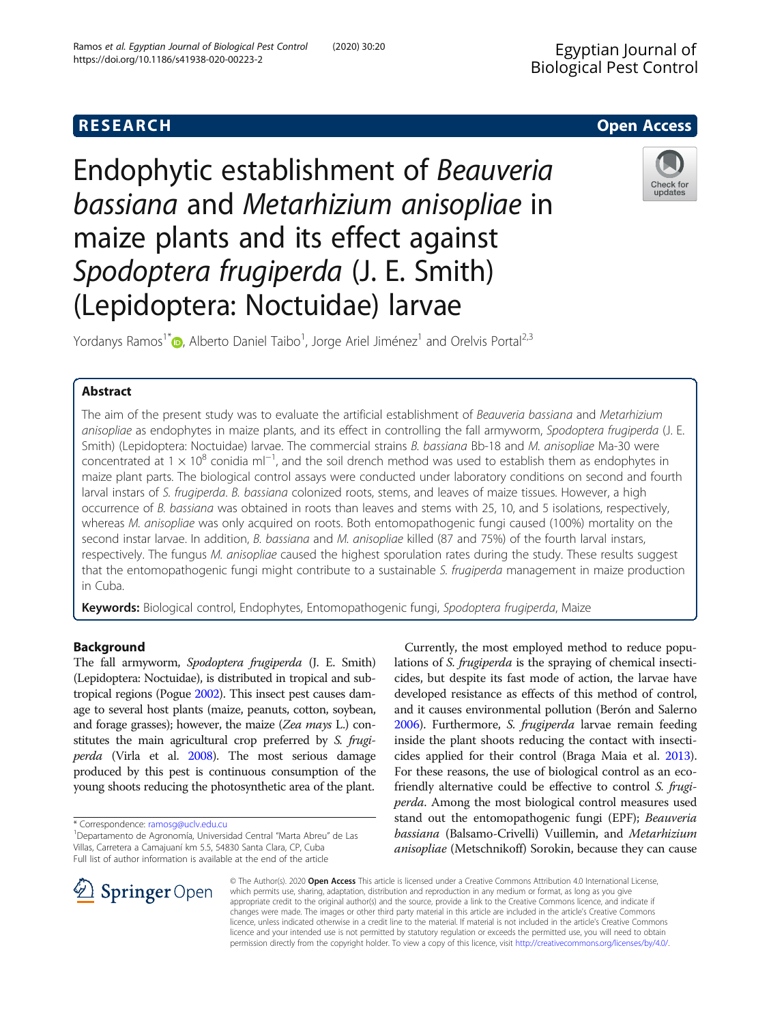# Endophytic establishment of Beauveria bassiana and Metarhizium anisopliae in maize plants and its effect against Spodoptera frugiperda (J. E. Smith) (Lepidoptera: Noctuidae) larvae

Yordanys Ramos<sup>1[\\*](http://orcid.org/0000-0003-4493-4895)</sup> D, Alberto Daniel Taibo<sup>1</sup>, Jorge Ariel Jiménez<sup>1</sup> and Orelvis Portal<sup>2,3</sup>

### Abstract

The aim of the present study was to evaluate the artificial establishment of Beauveria bassiana and Metarhizium anisopliae as endophytes in maize plants, and its effect in controlling the fall armyworm, Spodoptera frugiperda (J. E. Smith) (Lepidoptera: Noctuidae) larvae. The commercial strains B, bassiana Bb-18 and M. anisopliae Ma-30 were concentrated at 1 × 10<sup>8</sup> conidia ml<sup>-1</sup>, and the soil drench method was used to establish them as endophytes in maize plant parts. The biological control assays were conducted under laboratory conditions on second and fourth larval instars of S. frugiperda. B. bassiana colonized roots, stems, and leaves of maize tissues. However, a high occurrence of B. bassiana was obtained in roots than leaves and stems with 25, 10, and 5 isolations, respectively, whereas M. anisopliae was only acquired on roots. Both entomopathogenic fungi caused (100%) mortality on the second instar larvae. In addition, B. bassiana and M. anisopliae killed (87 and 75%) of the fourth larval instars, respectively. The fungus M. anisopliae caused the highest sporulation rates during the study. These results suggest that the entomopathogenic fungi might contribute to a sustainable S. frugiperda management in maize production in Cuba.

Keywords: Biological control, Endophytes, Entomopathogenic fungi, Spodoptera frugiperda, Maize

#### Background

The fall armyworm, Spodoptera frugiperda (J. E. Smith) (Lepidoptera: Noctuidae), is distributed in tropical and subtropical regions (Pogue [2002](#page-4-0)). This insect pest causes damage to several host plants (maize, peanuts, cotton, soybean, and forage grasses); however, the maize (Zea mays L.) constitutes the main agricultural crop preferred by S. frugiperda (Virla et al. [2008](#page-5-0)). The most serious damage produced by this pest is continuous consumption of the young shoots reducing the photosynthetic area of the plant.

\* Correspondence: [ramosg@uclv.edu.cu](mailto:ramosg@uclv.edu.cu) <sup>1</sup>

 $\mathscr{L}$  Springer Open

Currently, the most employed method to reduce populations of S. frugiperda is the spraying of chemical insecticides, but despite its fast mode of action, the larvae have developed resistance as effects of this method of control, and it causes environmental pollution (Berón and Salerno [2006\)](#page-4-0). Furthermore, S. frugiperda larvae remain feeding inside the plant shoots reducing the contact with insecticides applied for their control (Braga Maia et al. [2013](#page-4-0)). For these reasons, the use of biological control as an ecofriendly alternative could be effective to control S. frugiperda. Among the most biological control measures used stand out the entomopathogenic fungi (EPF); Beauveria bassiana (Balsamo-Crivelli) Vuillemin, and Metarhizium anisopliae (Metschnikoff) Sorokin, because they can cause

© The Author(s). 2020 Open Access This article is licensed under a Creative Commons Attribution 4.0 International License, which permits use, sharing, adaptation, distribution and reproduction in any medium or format, as long as you give appropriate credit to the original author(s) and the source, provide a link to the Creative Commons licence, and indicate if changes were made. The images or other third party material in this article are included in the article's Creative Commons licence, unless indicated otherwise in a credit line to the material. If material is not included in the article's Creative Commons licence and your intended use is not permitted by statutory regulation or exceeds the permitted use, you will need to obtain permission directly from the copyright holder. To view a copy of this licence, visit <http://creativecommons.org/licenses/by/4.0/>.





Departamento de Agronomía, Universidad Central "Marta Abreu" de Las Villas, Carretera a Camajuaní km 5.5, 54830 Santa Clara, CP, Cuba Full list of author information is available at the end of the article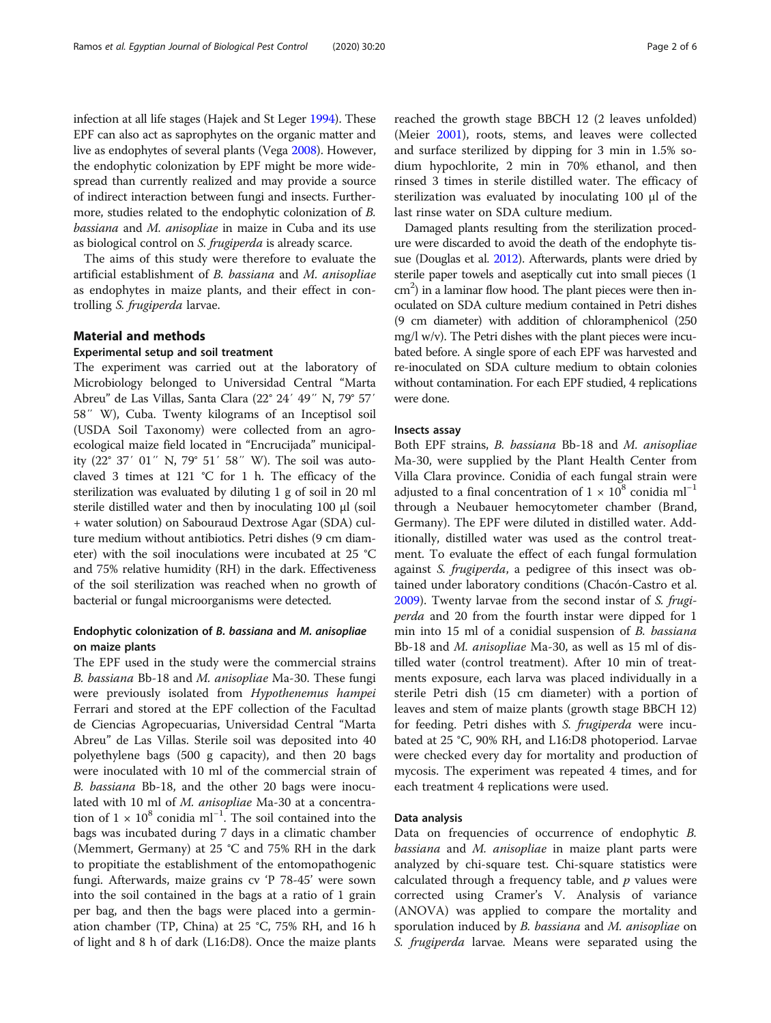infection at all life stages (Hajek and St Leger [1994\)](#page-4-0). These EPF can also act as saprophytes on the organic matter and live as endophytes of several plants (Vega [2008\)](#page-4-0). However, the endophytic colonization by EPF might be more widespread than currently realized and may provide a source of indirect interaction between fungi and insects. Furthermore, studies related to the endophytic colonization of B. bassiana and M. anisopliae in maize in Cuba and its use as biological control on S. frugiperda is already scarce.

The aims of this study were therefore to evaluate the artificial establishment of B. bassiana and M. anisopliae as endophytes in maize plants, and their effect in controlling S. frugiperda larvae.

#### Material and methods

#### Experimental setup and soil treatment

The experiment was carried out at the laboratory of Microbiology belonged to Universidad Central "Marta Abreu" de Las Villas, Santa Clara (22° 24′ 49″ N, 79° 57′ 58″ W), Cuba. Twenty kilograms of an Inceptisol soil (USDA Soil Taxonomy) were collected from an agroecological maize field located in "Encrucijada" municipality (22° 37′ 01″ N, 79° 51′ 58″ W). The soil was autoclaved 3 times at 121 °C for 1 h. The efficacy of the sterilization was evaluated by diluting 1 g of soil in 20 ml sterile distilled water and then by inoculating 100 μl (soil + water solution) on Sabouraud Dextrose Agar (SDA) culture medium without antibiotics. Petri dishes (9 cm diameter) with the soil inoculations were incubated at 25 °C and 75% relative humidity (RH) in the dark. Effectiveness of the soil sterilization was reached when no growth of bacterial or fungal microorganisms were detected.

#### Endophytic colonization of B. bassiana and M. anisopliae on maize plants

The EPF used in the study were the commercial strains B. bassiana Bb-18 and M. anisopliae Ma-30. These fungi were previously isolated from Hypothenemus hampei Ferrari and stored at the EPF collection of the Facultad de Ciencias Agropecuarias, Universidad Central "Marta Abreu" de Las Villas. Sterile soil was deposited into 40 polyethylene bags (500 g capacity), and then 20 bags were inoculated with 10 ml of the commercial strain of B. bassiana Bb-18, and the other 20 bags were inoculated with 10 ml of M. anisopliae Ma-30 at a concentration of  $1 \times 10^8$  conidia ml<sup>-1</sup>. The soil contained into the bags was incubated during 7 days in a climatic chamber (Memmert, Germany) at 25 °C and 75% RH in the dark to propitiate the establishment of the entomopathogenic fungi. Afterwards, maize grains cv 'P 78-45' were sown into the soil contained in the bags at a ratio of 1 grain per bag, and then the bags were placed into a germination chamber (TP, China) at 25 °C, 75% RH, and 16 h of light and 8 h of dark (L16:D8). Once the maize plants

reached the growth stage BBCH 12 (2 leaves unfolded) (Meier [2001](#page-4-0)), roots, stems, and leaves were collected and surface sterilized by dipping for 3 min in 1.5% sodium hypochlorite, 2 min in 70% ethanol, and then rinsed 3 times in sterile distilled water. The efficacy of sterilization was evaluated by inoculating 100 μl of the last rinse water on SDA culture medium.

Damaged plants resulting from the sterilization procedure were discarded to avoid the death of the endophyte tissue (Douglas et al. [2012](#page-4-0)). Afterwards, plants were dried by sterile paper towels and aseptically cut into small pieces (1 cm<sup>2</sup>) in a laminar flow hood. The plant pieces were then inoculated on SDA culture medium contained in Petri dishes (9 cm diameter) with addition of chloramphenicol (250 mg/l w/v). The Petri dishes with the plant pieces were incubated before. A single spore of each EPF was harvested and re-inoculated on SDA culture medium to obtain colonies without contamination. For each EPF studied, 4 replications were done.

#### Insects assay

Both EPF strains, B. bassiana Bb-18 and M. anisopliae Ma-30, were supplied by the Plant Health Center from Villa Clara province. Conidia of each fungal strain were adjusted to a final concentration of  $1 \times 10^8$  conidia ml<sup>-1</sup> through a Neubauer hemocytometer chamber (Brand, Germany). The EPF were diluted in distilled water. Additionally, distilled water was used as the control treatment. To evaluate the effect of each fungal formulation against S. frugiperda, a pedigree of this insect was obtained under laboratory conditions (Chacón-Castro et al. [2009](#page-4-0)). Twenty larvae from the second instar of S. frugiperda and 20 from the fourth instar were dipped for 1 min into 15 ml of a conidial suspension of B. bassiana Bb-18 and M. anisopliae Ma-30, as well as 15 ml of distilled water (control treatment). After 10 min of treatments exposure, each larva was placed individually in a sterile Petri dish (15 cm diameter) with a portion of leaves and stem of maize plants (growth stage BBCH 12) for feeding. Petri dishes with S. frugiperda were incubated at 25 °C, 90% RH, and L16:D8 photoperiod. Larvae were checked every day for mortality and production of mycosis. The experiment was repeated 4 times, and for each treatment 4 replications were used.

#### Data analysis

Data on frequencies of occurrence of endophytic B. bassiana and M. anisopliae in maize plant parts were analyzed by chi-square test. Chi-square statistics were calculated through a frequency table, and  $p$  values were corrected using Cramer's V. Analysis of variance (ANOVA) was applied to compare the mortality and sporulation induced by *B. bassiana* and *M. anisopliae* on S. frugiperda larvae. Means were separated using the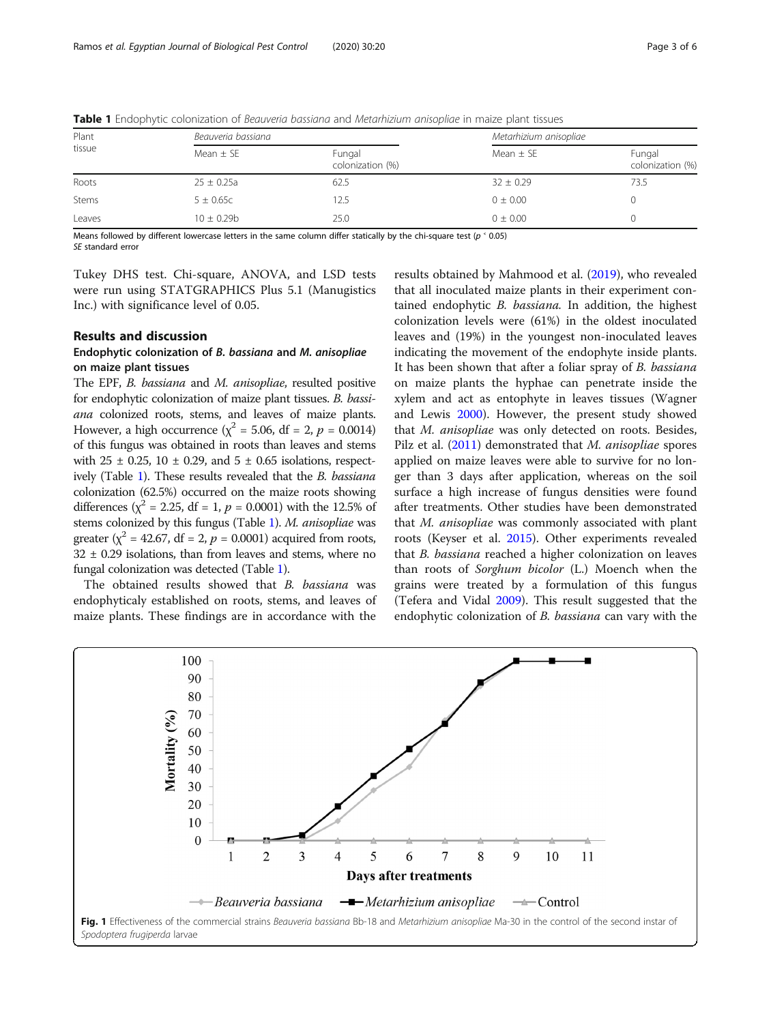| Plant<br>tissue | Beauveria bassiana |                            | Metarhizium anisopliae |                            |
|-----------------|--------------------|----------------------------|------------------------|----------------------------|
|                 | Mean $\pm$ SE      | Fungal<br>colonization (%) | Mean $\pm$ SE          | Fungal<br>colonization (%) |
| Roots           | $25 \pm 0.25a$     | 62.5                       | $32 \pm 0.29$          | 73.5                       |
| Stems           | $5 \pm 0.65c$      | 12.5                       | $0 \pm 0.00$           |                            |
| Leaves          | $10 + 0.29b$       | 25.0                       | $0 \pm 0.00$           |                            |

<span id="page-2-0"></span>Table 1 Endophytic colonization of Beauveria bassiana and Metarhizium anisopliae in maize plant tissues

Means followed by different lowercase letters in the same column differ statically by the chi-square test ( $p \le 0.05$ ) SE standard error

Tukey DHS test. Chi-square, ANOVA, and LSD tests were run using STATGRAPHICS Plus 5.1 (Manugistics Inc.) with significance level of 0.05.

#### Results and discussion

#### Endophytic colonization of B. bassiana and M. anisopliae on maize plant tissues

The EPF, B. bassiana and M. anisopliae, resulted positive for endophytic colonization of maize plant tissues. B. bassiana colonized roots, stems, and leaves of maize plants. However, a high occurrence ( $\chi^2$  = 5.06, df = 2, p = 0.0014) of this fungus was obtained in roots than leaves and stems with  $25 \pm 0.25$ ,  $10 \pm 0.29$ , and  $5 \pm 0.65$  isolations, respectively (Table 1). These results revealed that the B. bassiana colonization (62.5%) occurred on the maize roots showing differences ( $\chi^2$  = 2.25, df = 1, p = 0.0001) with the 12.5% of stems colonized by this fungus (Table 1). M. anisopliae was greater ( $\chi^2$  = 42.67, df = 2, p = 0.0001) acquired from roots,  $32 \pm 0.29$  isolations, than from leaves and stems, where no fungal colonization was detected (Table 1).

The obtained results showed that B. bassiana was endophyticaly established on roots, stems, and leaves of maize plants. These findings are in accordance with the

results obtained by Mahmood et al. ([2019](#page-4-0)), who revealed that all inoculated maize plants in their experiment contained endophytic B. bassiana. In addition, the highest colonization levels were (61%) in the oldest inoculated leaves and (19%) in the youngest non-inoculated leaves indicating the movement of the endophyte inside plants. It has been shown that after a foliar spray of B. bassiana on maize plants the hyphae can penetrate inside the xylem and act as entophyte in leaves tissues (Wagner and Lewis [2000\)](#page-5-0). However, the present study showed that M. anisopliae was only detected on roots. Besides, Pilz et al. [\(2011\)](#page-4-0) demonstrated that M. anisopliae spores applied on maize leaves were able to survive for no longer than 3 days after application, whereas on the soil surface a high increase of fungus densities were found after treatments. Other studies have been demonstrated that M. anisopliae was commonly associated with plant roots (Keyser et al. [2015](#page-4-0)). Other experiments revealed that B. bassiana reached a higher colonization on leaves than roots of Sorghum bicolor (L.) Moench when the grains were treated by a formulation of this fungus (Tefera and Vidal [2009\)](#page-4-0). This result suggested that the endophytic colonization of *B. bassiana* can vary with the

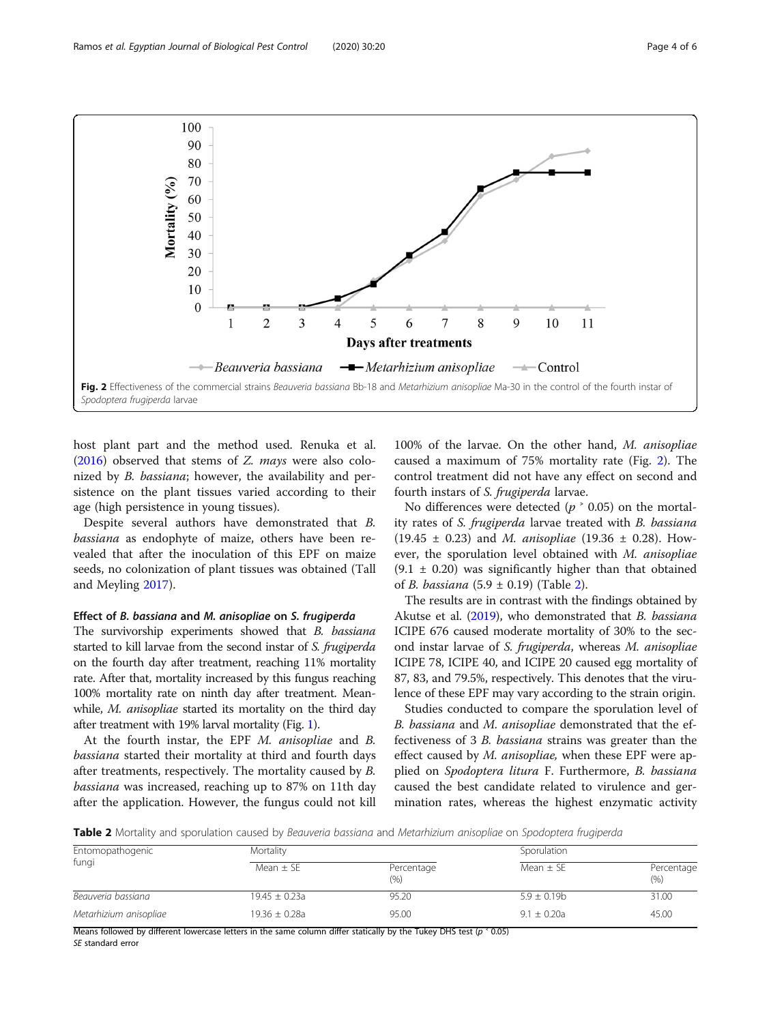

host plant part and the method used. Renuka et al. ([2016](#page-4-0)) observed that stems of Z. mays were also colonized by B. bassiana; however, the availability and persistence on the plant tissues varied according to their age (high persistence in young tissues).

Despite several authors have demonstrated that B. bassiana as endophyte of maize, others have been revealed that after the inoculation of this EPF on maize seeds, no colonization of plant tissues was obtained (Tall and Meyling [2017](#page-4-0)).

#### Effect of B. bassiana and M. anisopliae on S. frugiperda

The survivorship experiments showed that B. bassiana started to kill larvae from the second instar of S. frugiperda on the fourth day after treatment, reaching 11% mortality rate. After that, mortality increased by this fungus reaching 100% mortality rate on ninth day after treatment. Meanwhile, *M. anisopliae* started its mortality on the third day after treatment with 19% larval mortality (Fig. [1](#page-2-0)).

At the fourth instar, the EPF M. anisopliae and B. bassiana started their mortality at third and fourth days after treatments, respectively. The mortality caused by B. bassiana was increased, reaching up to 87% on 11th day after the application. However, the fungus could not kill

100% of the larvae. On the other hand, M. anisopliae caused a maximum of 75% mortality rate (Fig. 2). The control treatment did not have any effect on second and fourth instars of S. frugiperda larvae.

No differences were detected ( $p \n\textdegree$  0.05) on the mortality rates of S. frugiperda larvae treated with B. bassiana  $(19.45 \pm 0.23)$  and *M. anisopliae*  $(19.36 \pm 0.28)$ . However, the sporulation level obtained with M. anisopliae  $(9.1 \pm 0.20)$  was significantly higher than that obtained of *B. bassiana* (5.9  $\pm$  0.19) (Table 2).

The results are in contrast with the findings obtained by Akutse et al. ([2019](#page-4-0)), who demonstrated that B. bassiana ICIPE 676 caused moderate mortality of 30% to the second instar larvae of S. frugiperda, whereas M. anisopliae ICIPE 78, ICIPE 40, and ICIPE 20 caused egg mortality of 87, 83, and 79.5%, respectively. This denotes that the virulence of these EPF may vary according to the strain origin.

Studies conducted to compare the sporulation level of B. bassiana and M. anisopliae demonstrated that the effectiveness of 3 B. bassiana strains was greater than the effect caused by M. anisopliae, when these EPF were applied on Spodoptera litura F. Furthermore, B. bassiana caused the best candidate related to virulence and germination rates, whereas the highest enzymatic activity

Table 2 Mortality and sporulation caused by Beauveria bassiana and Metarhizium anisopliae on Spodoptera frugiperda

| Entomopathogenic       | Mortality         |                   | Sporulation      |                    |
|------------------------|-------------------|-------------------|------------------|--------------------|
| fungi                  | Mean $\pm$ SE     | Percentage<br>(%) | Mean $\pm$ SE    | Percentage<br>(% ) |
| Beauveria bassiana     | $19.45 \pm 0.23a$ | 95.20             | $5.9 \pm 0.19$ b | 31.00              |
| Metarhizium anisopliae | $19.36 \pm 0.28a$ | 95.00             | $9.1 + 0.20a$    | 45.00              |

Means followed by different lowercase letters in the same column differ statically by the Tukey DHS test ( $p \le 0.05$ )

SE standard error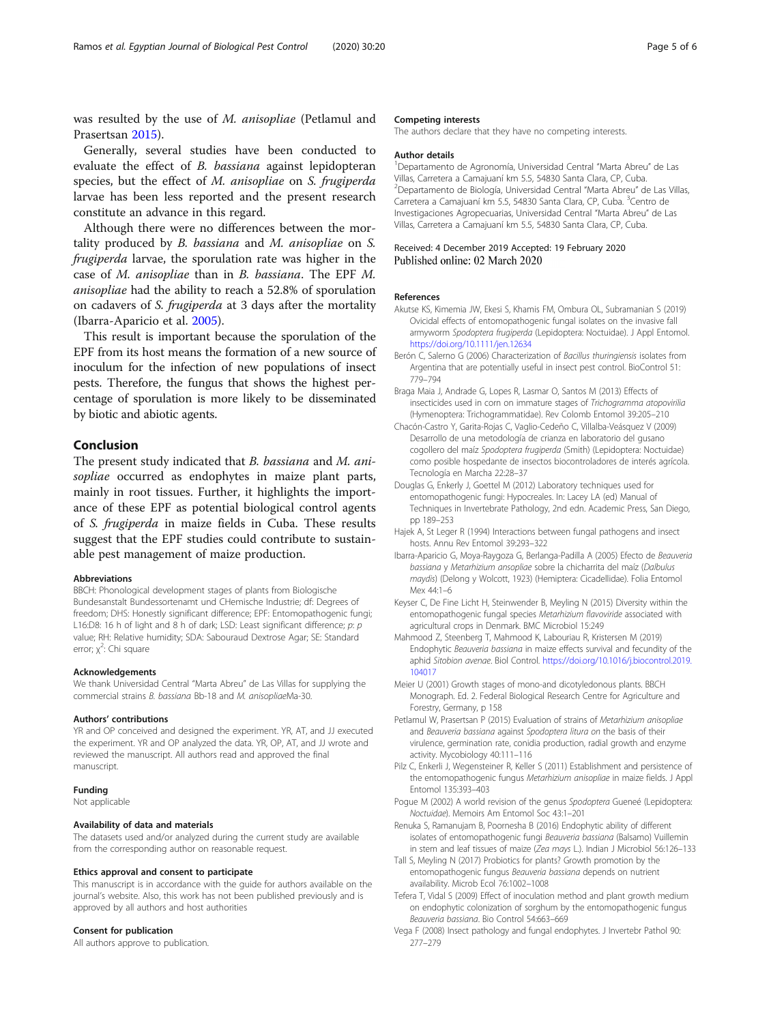<span id="page-4-0"></span>was resulted by the use of M. anisopliae (Petlamul and Prasertsan 2015).

Generally, several studies have been conducted to evaluate the effect of B. bassiana against lepidopteran species, but the effect of M. anisopliae on S. frugiperda larvae has been less reported and the present research constitute an advance in this regard.

Although there were no differences between the mortality produced by B. bassiana and M. anisopliae on S. frugiperda larvae, the sporulation rate was higher in the case of M. anisopliae than in B. bassiana. The EPF M. anisopliae had the ability to reach a 52.8% of sporulation on cadavers of S. frugiperda at 3 days after the mortality (Ibarra-Aparicio et al. 2005).

This result is important because the sporulation of the EPF from its host means the formation of a new source of inoculum for the infection of new populations of insect pests. Therefore, the fungus that shows the highest percentage of sporulation is more likely to be disseminated by biotic and abiotic agents.

#### Conclusion

The present study indicated that B. bassiana and M. anisopliae occurred as endophytes in maize plant parts, mainly in root tissues. Further, it highlights the importance of these EPF as potential biological control agents of S. frugiperda in maize fields in Cuba. These results suggest that the EPF studies could contribute to sustainable pest management of maize production.

#### Abbreviations

BBCH: Phonological development stages of plants from Biologische Bundesanstalt Bundessortenamt und CHemische Industrie; df: Degrees of freedom; DHS: Honestly significant difference; EPF: Entomopathogenic fungi; L16:D8: 16 h of light and 8 h of dark; LSD: Least significant difference; p: p value; RH: Relative humidity; SDA: Sabouraud Dextrose Agar; SE: Standard error; χ<sup>2</sup>: Chi square

#### Acknowledgements

We thank Universidad Central "Marta Abreu" de Las Villas for supplying the commercial strains B. bassiana Bb-18 and M. anisopliaeMa-30.

#### Authors' contributions

YR and OP conceived and designed the experiment. YR, AT, and JJ executed the experiment. YR and OP analyzed the data. YR, OP, AT, and JJ wrote and reviewed the manuscript. All authors read and approved the final manuscript.

#### Funding

Not applicable

#### Availability of data and materials

The datasets used and/or analyzed during the current study are available from the corresponding author on reasonable request.

#### Ethics approval and consent to participate

This manuscript is in accordance with the guide for authors available on the journal's website. Also, this work has not been published previously and is approved by all authors and host authorities

#### Consent for publication

All authors approve to publication.

#### Competing interests

The authors declare that they have no competing interests.

#### Author details

1 Departamento de Agronomía, Universidad Central "Marta Abreu" de Las Villas, Carretera a Camajuaní km 5.5, 54830 Santa Clara, CP, Cuba. 2 Departamento de Biología, Universidad Central "Marta Abreu" de Las Villas, Carretera a Camajuaní km 5.5, 54830 Santa Clara, CP, Cuba. <sup>3</sup>Centro de Investigaciones Agropecuarias, Universidad Central "Marta Abreu" de Las Villas, Carretera a Camajuaní km 5.5, 54830 Santa Clara, CP, Cuba.

## Received: 4 December 2019 Accepted: 19 February 2020

#### References

- Akutse KS, Kimemia JW, Ekesi S, Khamis FM, Ombura OL, Subramanian S (2019) Ovicidal effects of entomopathogenic fungal isolates on the invasive fall armyworm Spodoptera frugiperda (Lepidoptera: Noctuidae). J Appl Entomol. <https://doi.org/10.1111/jen.12634>
- Berón C, Salerno G (2006) Characterization of Bacillus thuringiensis isolates from Argentina that are potentially useful in insect pest control. BioControl 51: 779–794
- Braga Maia J, Andrade G, Lopes R, Lasmar O, Santos M (2013) Effects of insecticides used in corn on immature stages of Trichogramma atopovirilia (Hymenoptera: Trichogrammatidae). Rev Colomb Entomol 39:205–210
- Chacón-Castro Y, Garita-Rojas C, Vaglio-Cedeño C, Villalba-Veásquez V (2009) Desarrollo de una metodología de crianza en laboratorio del gusano cogollero del maíz Spodoptera frugiperda (Smith) (Lepidoptera: Noctuidae) como posible hospedante de insectos biocontroladores de interés agrícola. Tecnología en Marcha 22:28–37
- Douglas G, Enkerly J, Goettel M (2012) Laboratory techniques used for entomopathogenic fungi: Hypocreales. In: Lacey LA (ed) Manual of Techniques in Invertebrate Pathology, 2nd edn. Academic Press, San Diego, pp 189–253
- Hajek A, St Leger R (1994) Interactions between fungal pathogens and insect hosts. Annu Rev Entomol 39:293–322
- Ibarra-Aparicio G, Moya-Raygoza G, Berlanga-Padilla A (2005) Efecto de Beauveria bassiana y Metarhizium ansopliae sobre la chicharrita del maíz (Dalbulus maydis) (Delong y Wolcott, 1923) (Hemiptera: Cicadellidae). Folia Entomol Mex 44:1–6
- Keyser C, De Fine Licht H, Steinwender B, Meyling N (2015) Diversity within the entomopathogenic fungal species Metarhizium flavoviride associated with agricultural crops in Denmark. BMC Microbiol 15:249
- Mahmood Z, Steenberg T, Mahmood K, Labouriau R, Kristersen M (2019) Endophytic Beauveria bassiana in maize effects survival and fecundity of the aphid Sitobion avenae. Biol Control. [https://doi.org/10.1016/j.biocontrol.2019.](https://doi.org/10.1016/j.biocontrol.2019.104017) [104017](https://doi.org/10.1016/j.biocontrol.2019.104017)
- Meier U (2001) Growth stages of mono-and dicotyledonous plants. BBCH Monograph. Ed. 2. Federal Biological Research Centre for Agriculture and Forestry, Germany, p 158

Petlamul W, Prasertsan P (2015) Evaluation of strains of Metarhizium anisopliae and Beauveria bassiana against Spodoptera litura on the basis of their virulence, germination rate, conidia production, radial growth and enzyme activity. Mycobiology 40:111–116

- Pilz C, Enkerli J, Wegensteiner R, Keller S (2011) Establishment and persistence of the entomopathogenic fungus Metarhizium anisopliae in maize fields. J Appl Entomol 135:393–403
- Poque M (2002) A world revision of the genus Spodoptera Gueneé (Lepidoptera: Noctuidae). Memoirs Am Entomol Soc 43:1–201
- Renuka S, Ramanujam B, Poornesha B (2016) Endophytic ability of different isolates of entomopathogenic fungi Beauveria bassiana (Balsamo) Vuillemin in stem and leaf tissues of maize (Zea mays L.). Indian J Microbiol 56:126–133
- Tall S, Meyling N (2017) Probiotics for plants? Growth promotion by the entomopathogenic fungus Beauveria bassiana depends on nutrient availability. Microb Ecol 76:1002–1008
- Tefera T, Vidal S (2009) Effect of inoculation method and plant growth medium on endophytic colonization of sorghum by the entomopathogenic fungus Beauveria bassiana. Bio Control 54:663–669
- Vega F (2008) Insect pathology and fungal endophytes. J Invertebr Pathol 90: 277–279